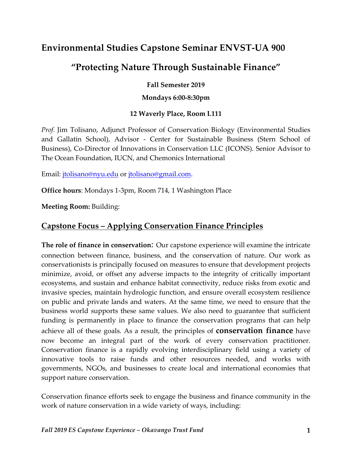# **Environmental Studies Capstone Seminar ENVST-UA 900**

# **"Protecting Nature Through Sustainable Finance"**

#### **Fall Semester 2019**

#### **Mondays 6:00-8:30pm**

### **12 Waverly Place, Room L111**

*Prof.* Jim Tolisano, Adjunct Professor of Conservation Biology (Environmental Studies and Gallatin School), Advisor - Center for Sustainable Business (Stern School of Business), Co-Director of Innovations in Conservation LLC (ICONS). Senior Advisor to The Ocean Foundation, IUCN, and Chemonics International

Email: jtolisano@nyu.edu or jtolisano@gmail.com.

**Office hours**: Mondays 1-3pm, Room 714, 1 Washington Place

**Meeting Room:** Building:

### **Capstone Focus – Applying Conservation Finance Principles**

**The role of finance in conservation**: Our capstone experience will examine the intricate connection between finance, business, and the conservation of nature. Our work as conservationists is principally focused on measures to ensure that development projects minimize, avoid, or offset any adverse impacts to the integrity of critically important ecosystems, and sustain and enhance habitat connectivity, reduce risks from exotic and invasive species, maintain hydrologic function, and ensure overall ecosystem resilience on public and private lands and waters. At the same time, we need to ensure that the business world supports these same values. We also need to guarantee that sufficient funding is permanently in place to finance the conservation programs that can help achieve all of these goals. As a result, the principles of **conservation finance** have now become an integral part of the work of every conservation practitioner. Conservation finance is a rapidly evolving interdisciplinary field using a variety of innovative tools to raise funds and other resources needed, and works with governments, NGOs, and businesses to create local and international economies that support nature conservation.

Conservation finance efforts seek to engage the business and finance community in the work of nature conservation in a wide variety of ways, including: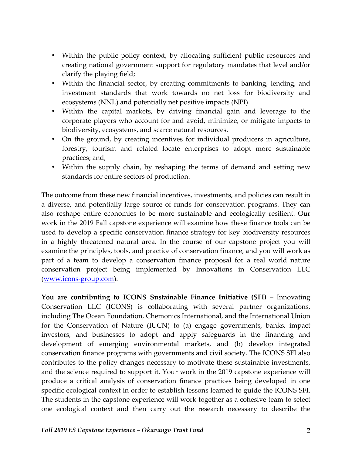- Within the public policy context, by allocating sufficient public resources and creating national government support for regulatory mandates that level and/or clarify the playing field;
- Within the financial sector, by creating commitments to banking, lending, and investment standards that work towards no net loss for biodiversity and ecosystems (NNL) and potentially net positive impacts (NPI).
- Within the capital markets, by driving financial gain and leverage to the corporate players who account for and avoid, minimize, or mitigate impacts to biodiversity, ecosystems, and scarce natural resources.
- On the ground, by creating incentives for individual producers in agriculture, forestry, tourism and related locate enterprises to adopt more sustainable practices; and,
- Within the supply chain, by reshaping the terms of demand and setting new standards for entire sectors of production.

The outcome from these new financial incentives, investments, and policies can result in a diverse, and potentially large source of funds for conservation programs. They can also reshape entire economies to be more sustainable and ecologically resilient. Our work in the 2019 Fall capstone experience will examine how these finance tools can be used to develop a specific conservation finance strategy for key biodiversity resources in a highly threatened natural area. In the course of our capstone project you will examine the principles, tools, and practice of conservation finance, and you will work as part of a team to develop a conservation finance proposal for a real world nature conservation project being implemented by Innovations in Conservation LLC (www.icons-group.com).

**You are contributing to ICONS Sustainable Finance Initiative (SFI)** – Innovating Conservation LLC (ICONS) is collaborating with several partner organizations, including The Ocean Foundation, Chemonics International, and the International Union for the Conservation of Nature (IUCN) to (a) engage governments, banks, impact investors, and businesses to adopt and apply safeguards in the financing and development of emerging environmental markets, and (b) develop integrated conservation finance programs with governments and civil society. The ICONS SFI also contributes to the policy changes necessary to motivate these sustainable investments, and the science required to support it. Your work in the 2019 capstone experience will produce a critical analysis of conservation finance practices being developed in one specific ecological context in order to establish lessons learned to guide the ICONS SFI. The students in the capstone experience will work together as a cohesive team to select one ecological context and then carry out the research necessary to describe the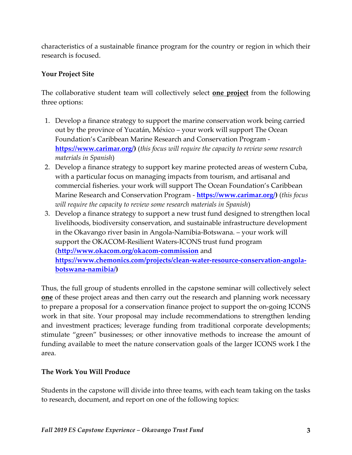characteristics of a sustainable finance program for the country or region in which their research is focused.

### **Your Project Site**

The collaborative student team will collectively select **one project** from the following three options:

- 1. Develop a finance strategy to support the marine conservation work being carried out by the province of Yucatán, México – your work will support The Ocean Foundation's Caribbean Marine Research and Conservation Program **https://www.carimar.org/)** (*this focus will require the capacity to review some research materials in Spanish*)
- 2. Develop a finance strategy to support key marine protected areas of western Cuba, with a particular focus on managing impacts from tourism, and artisanal and commercial fisheries. your work will support The Ocean Foundation's Caribbean Marine Research and Conservation Program - **https://www.carimar.org/)** (*this focus will require the capacity to review some research materials in Spanish*)
- 3. Develop a finance strategy to support a new trust fund designed to strengthen local livelihoods, biodiversity conservation, and sustainable infrastructure development in the Okavango river basin in Angola-Namibia-Botswana. – your work will support the OKACOM-Resilient Waters-ICONS trust fund program (**http://www.okacom.org/okacom-commission** and **https://www.chemonics.com/projects/clean-water-resource-conservation-angolabotswana-namibia/)**

Thus, the full group of students enrolled in the capstone seminar will collectively select **one** of these project areas and then carry out the research and planning work necessary to prepare a proposal for a conservation finance project to support the on-going ICONS work in that site. Your proposal may include recommendations to strengthen lending and investment practices; leverage funding from traditional corporate developments; stimulate "green" businesses; or other innovative methods to increase the amount of funding available to meet the nature conservation goals of the larger ICONS work I the area.

### **The Work You Will Produce**

Students in the capstone will divide into three teams, with each team taking on the tasks to research, document, and report on one of the following topics: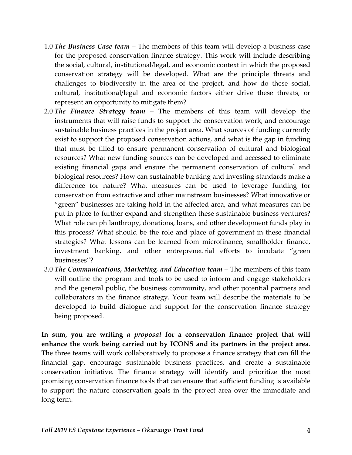- 1.0 *The Business Case team*  The members of this team will develop a business case for the proposed conservation finance strategy. This work will include describing the social, cultural, institutional/legal, and economic context in which the proposed conservation strategy will be developed. What are the principle threats and challenges to biodiversity in the area of the project, and how do these social, cultural, institutional/legal and economic factors either drive these threats, or represent an opportunity to mitigate them?
- 2.0 *The Finance Strategy team* The members of this team will develop the instruments that will raise funds to support the conservation work, and encourage sustainable business practices in the project area. What sources of funding currently exist to support the proposed conservation actions, and what is the gap in funding that must be filled to ensure permanent conservation of cultural and biological resources? What new funding sources can be developed and accessed to eliminate existing financial gaps and ensure the permanent conservation of cultural and biological resources? How can sustainable banking and investing standards make a difference for nature? What measures can be used to leverage funding for conservation from extractive and other mainstream businesses? What innovative or "green" businesses are taking hold in the affected area, and what measures can be put in place to further expand and strengthen these sustainable business ventures? What role can philanthropy, donations, loans, and other development funds play in this process? What should be the role and place of government in these financial strategies? What lessons can be learned from microfinance, smallholder finance, investment banking, and other entrepreneurial efforts to incubate "green businesses"?
- 3.0 *The Communications, Marketing, and Education team* The members of this team will outline the program and tools to be used to inform and engage stakeholders and the general public, the business community, and other potential partners and collaborators in the finance strategy. Your team will describe the materials to be developed to build dialogue and support for the conservation finance strategy being proposed.

**In sum, you are writing** *a proposal* **for a conservation finance project that will enhance the work being carried out by ICONS and its partners in the project area**. The three teams will work collaboratively to propose a finance strategy that can fill the financial gap, encourage sustainable business practices, and create a sustainable conservation initiative. The finance strategy will identify and prioritize the most promising conservation finance tools that can ensure that sufficient funding is available to support the nature conservation goals in the project area over the immediate and long term.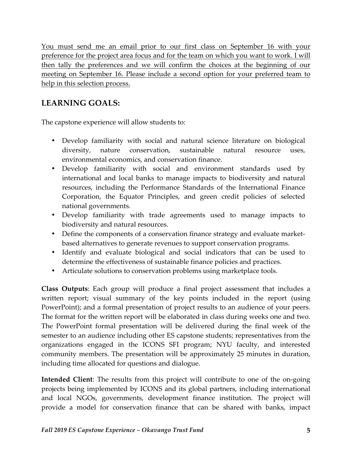You must send me an email prior to our first class on September 16 with your preference for the project area focus and for the team on which you want to work. I will then tally the preferences and we will confirm the choices at the beginning of our meeting on September 16. Please include a second option for your preferred team to help in this selection process.

## **LEARNING GOALS:**

The capstone experience will allow students to:

- Develop familiarity with social and natural science literature on biological diversity, nature conservation, sustainable natural resource uses, environmental economics, and conservation finance.
- Develop familiarity with social and environment standards used by international and local banks to manage impacts to biodiversity and natural resources, including the Performance Standards of the International Finance Corporation, the Equator Principles, and green credit policies of selected national governments.
- Develop familiarity with trade agreements used to manage impacts to biodiversity and natural resources.
- Define the components of a conservation finance strategy and evaluate marketbased alternatives to generate revenues to support conservation programs.
- Identify and evaluate biological and social indicators that can be used to determine the effectiveness of sustainable finance policies and practices.
- Articulate solutions to conservation problems using marketplace tools.

**Class Outputs**: Each group will produce a final project assessment that includes a written report; visual summary of the key points included in the report (using PowerPoint); and a formal presentation of project results to an audience of your peers. The format for the written report will be elaborated in class during weeks one and two. The PowerPoint formal presentation will be delivered during the final week of the semester to an audience including other ES capstone students; representatives from the organizations engaged in the ICONS SFI program; NYU faculty, and interested community members. The presentation will be approximately 25 minutes in duration, including time allocated for questions and dialogue.

**Intended Client**: The results from this project will contribute to one of the on-going projects being implemented by ICONS and its global partners, including international and local NGOs, governments, development finance institution. The project will provide a model for conservation finance that can be shared with banks, impact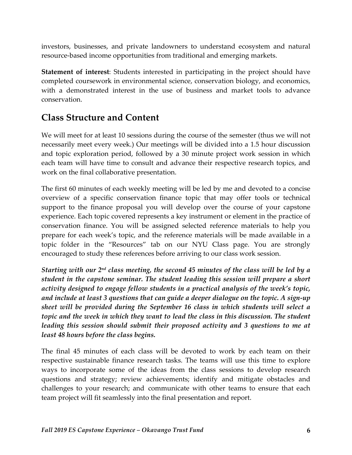investors, businesses, and private landowners to understand ecosystem and natural resource-based income opportunities from traditional and emerging markets.

**Statement of interest**: Students interested in participating in the project should have completed coursework in environmental science, conservation biology, and economics, with a demonstrated interest in the use of business and market tools to advance conservation.

# **Class Structure and Content**

We will meet for at least 10 sessions during the course of the semester (thus we will not necessarily meet every week.) Our meetings will be divided into a 1.5 hour discussion and topic exploration period, followed by a 30 minute project work session in which each team will have time to consult and advance their respective research topics, and work on the final collaborative presentation.

The first 60 minutes of each weekly meeting will be led by me and devoted to a concise overview of a specific conservation finance topic that may offer tools or technical support to the finance proposal you will develop over the course of your capstone experience. Each topic covered represents a key instrument or element in the practice of conservation finance. You will be assigned selected reference materials to help you prepare for each week's topic, and the reference materials will be made available in a topic folder in the "Resources" tab on our NYU Class page. You are strongly encouraged to study these references before arriving to our class work session.

*Starting with our 2nd class meeting, the second 45 minutes of the class will be led by a student in the capstone seminar. The student leading this session will prepare a short activity designed to engage fellow students in a practical analysis of the week's topic, and include at least 3 questions that can guide a deeper dialogue on the topic. A sign-up sheet will be provided during the September 16 class in which students will select a topic and the week in which they want to lead the class in this discussion. The student leading this session should submit their proposed activity and 3 questions to me at least 48 hours before the class begins.* 

The final 45 minutes of each class will be devoted to work by each team on their respective sustainable finance research tasks. The teams will use this time to explore ways to incorporate some of the ideas from the class sessions to develop research questions and strategy; review achievements; identify and mitigate obstacles and challenges to your research; and communicate with other teams to ensure that each team project will fit seamlessly into the final presentation and report.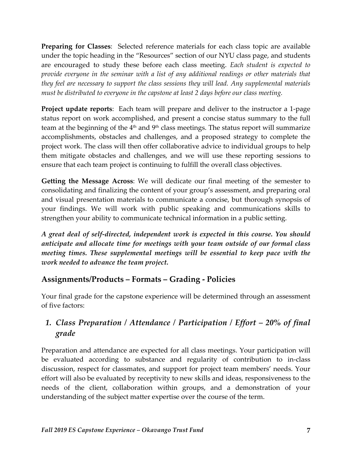**Preparing for Classes**: Selected reference materials for each class topic are available under the topic heading in the "Resources" section of our NYU class page, and students are encouraged to study these before each class meeting. *Each student is expected to provide everyone in the seminar with a list of any additional readings or other materials that they feel are necessary to support the class sessions they will lead. Any supplemental materials must be distributed to everyone in the capstone at least 2 days before our class meeting.* 

**Project update reports**: Each team will prepare and deliver to the instructor a 1-page status report on work accomplished, and present a concise status summary to the full team at the beginning of the  $4<sup>th</sup>$  and  $9<sup>th</sup>$  class meetings. The status report will summarize accomplishments, obstacles and challenges, and a proposed strategy to complete the project work. The class will then offer collaborative advice to individual groups to help them mitigate obstacles and challenges, and we will use these reporting sessions to ensure that each team project is continuing to fulfill the overall class objectives.

**Getting the Message Across**: We will dedicate our final meeting of the semester to consolidating and finalizing the content of your group's assessment, and preparing oral and visual presentation materials to communicate a concise, but thorough synopsis of your findings. We will work with public speaking and communications skills to strengthen your ability to communicate technical information in a public setting.

*A great deal of self-directed, independent work is expected in this course. You should anticipate and allocate time for meetings with your team outside of our formal class meeting times. These supplemental meetings will be essential to keep pace with the work needed to advance the team project.*

## **Assignments/Products – Formats – Grading - Policies**

Your final grade for the capstone experience will be determined through an assessment of five factors:

# *1. Class Preparation / Attendance / Participation / Effort – 20% of final grade*

Preparation and attendance are expected for all class meetings. Your participation will be evaluated according to substance and regularity of contribution to in-class discussion, respect for classmates, and support for project team members' needs. Your effort will also be evaluated by receptivity to new skills and ideas, responsiveness to the needs of the client, collaboration within groups, and a demonstration of your understanding of the subject matter expertise over the course of the term.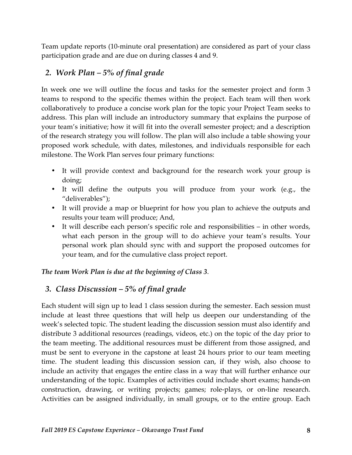Team update reports (10-minute oral presentation) are considered as part of your class participation grade and are due on during classes 4 and 9.

### *2. Work Plan – 5% of final grade*

In week one we will outline the focus and tasks for the semester project and form 3 teams to respond to the specific themes within the project. Each team will then work collaboratively to produce a concise work plan for the topic your Project Team seeks to address. This plan will include an introductory summary that explains the purpose of your team's initiative; how it will fit into the overall semester project; and a description of the research strategy you will follow. The plan will also include a table showing your proposed work schedule, with dates, milestones, and individuals responsible for each milestone. The Work Plan serves four primary functions:

- It will provide context and background for the research work your group is doing;
- It will define the outputs you will produce from your work (e.g., the "deliverables");
- It will provide a map or blueprint for how you plan to achieve the outputs and results your team will produce; And,
- It will describe each person's specific role and responsibilities in other words, what each person in the group will to do achieve your team's results. Your personal work plan should sync with and support the proposed outcomes for your team, and for the cumulative class project report.

### *The team Work Plan is due at the beginning of Class 3*.

## *3. Class Discussion – 5% of final grade*

Each student will sign up to lead 1 class session during the semester. Each session must include at least three questions that will help us deepen our understanding of the week's selected topic. The student leading the discussion session must also identify and distribute 3 additional resources (readings, videos, etc.) on the topic of the day prior to the team meeting. The additional resources must be different from those assigned, and must be sent to everyone in the capstone at least 24 hours prior to our team meeting time. The student leading this discussion session can, if they wish, also choose to include an activity that engages the entire class in a way that will further enhance our understanding of the topic. Examples of activities could include short exams; hands-on construction, drawing, or writing projects; games; role-plays, or on-line research. Activities can be assigned individually, in small groups, or to the entire group. Each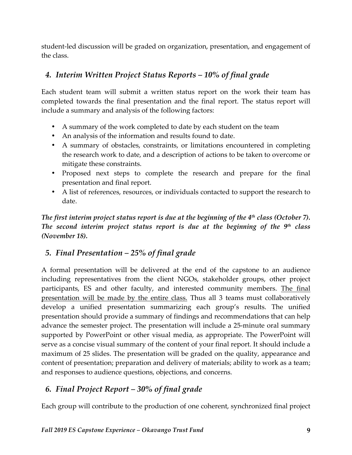student-led discussion will be graded on organization, presentation, and engagement of the class.

## *4. Interim Written Project Status Reports – 10% of final grade*

Each student team will submit a written status report on the work their team has completed towards the final presentation and the final report. The status report will include a summary and analysis of the following factors:

- A summary of the work completed to date by each student on the team
- An analysis of the information and results found to date.
- A summary of obstacles, constraints, or limitations encountered in completing the research work to date, and a description of actions to be taken to overcome or mitigate these constraints.
- Proposed next steps to complete the research and prepare for the final presentation and final report.
- A list of references, resources, or individuals contacted to support the research to date.

*The first interim project status report is due at the beginning of the 4th class (October 7). The second interim project status report is due at the beginning of the 9th class (November 18).* 

## *5. Final Presentation – 25% of final grade*

A formal presentation will be delivered at the end of the capstone to an audience including representatives from the client NGOs, stakeholder groups, other project participants, ES and other faculty, and interested community members. The final presentation will be made by the entire class. Thus all 3 teams must collaboratively develop a unified presentation summarizing each group's results. The unified presentation should provide a summary of findings and recommendations that can help advance the semester project. The presentation will include a 25-minute oral summary supported by PowerPoint or other visual media, as appropriate. The PowerPoint will serve as a concise visual summary of the content of your final report. It should include a maximum of 25 slides. The presentation will be graded on the quality, appearance and content of presentation; preparation and delivery of materials; ability to work as a team; and responses to audience questions, objections, and concerns.

## *6. Final Project Report – 30% of final grade*

Each group will contribute to the production of one coherent, synchronized final project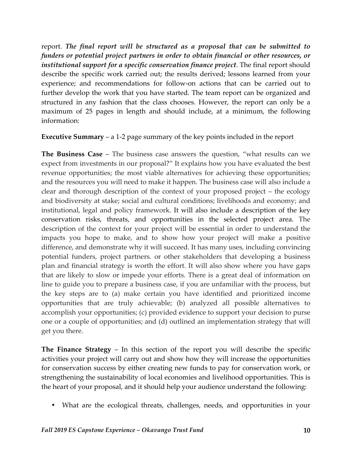report. *The final report will be structured as a proposal that can be submitted to funders or potential project partners in order to obtain financial or other resources, or institutional support for a specific conservation finance project*. The final report should describe the specific work carried out; the results derived; lessons learned from your experience; and recommendations for follow-on actions that can be carried out to further develop the work that you have started. The team report can be organized and structured in any fashion that the class chooses. However, the report can only be a maximum of 25 pages in length and should include, at a minimum, the following information:

### **Executive Summary** – a 1-2 page summary of the key points included in the report

**The Business Case** – The business case answers the question, "what results can we expect from investments in our proposal?" It explains how you have evaluated the best revenue opportunities; the most viable alternatives for achieving these opportunities; and the resources you will need to make it happen. The business case will also include a clear and thorough description of the context of your proposed project – the ecology and biodiversity at stake; social and cultural conditions; livelihoods and economy; and institutional, legal and policy framework. It will also include a description of the key conservation risks, threats, and opportunities in the selected project area. The description of the context for your project will be essential in order to understand the impacts you hope to make, and to show how your project will make a positive difference, and demonstrate why it will succeed. It has many uses, including convincing potential funders, project partners. or other stakeholders that developing a business plan and financial strategy is worth the effort. It will also show where you have gaps that are likely to slow or impede your efforts. There is a great deal of information on line to guide you to prepare a business case, if you are unfamiliar with the process, but the key steps are to (a) make certain you have identified and prioritized income opportunities that are truly achievable; (b) analyzed all possible alternatives to accomplish your opportunities; (c) provided evidence to support your decision to purse one or a couple of opportunities; and (d) outlined an implementation strategy that will get you there.

**The Finance Strategy** – In this section of the report you will describe the specific activities your project will carry out and show how they will increase the opportunities for conservation success by either creating new funds to pay for conservation work, or strengthening the sustainability of local economies and livelihood opportunities. This is the heart of your proposal, and it should help your audience understand the following:

• What are the ecological threats, challenges, needs, and opportunities in your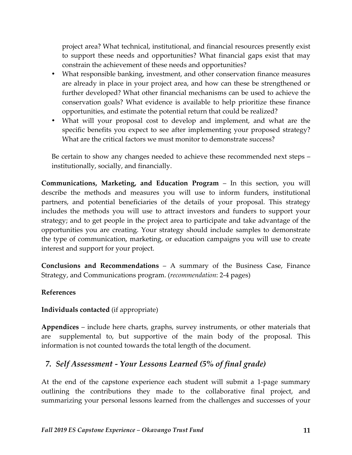project area? What technical, institutional, and financial resources presently exist to support these needs and opportunities? What financial gaps exist that may constrain the achievement of these needs and opportunities?

- What responsible banking, investment, and other conservation finance measures are already in place in your project area, and how can these be strengthened or further developed? What other financial mechanisms can be used to achieve the conservation goals? What evidence is available to help prioritize these finance opportunities, and estimate the potential return that could be realized?
- What will your proposal cost to develop and implement, and what are the specific benefits you expect to see after implementing your proposed strategy? What are the critical factors we must monitor to demonstrate success?

Be certain to show any changes needed to achieve these recommended next steps – institutionally, socially, and financially.

**Communications, Marketing, and Education Program** – In this section, you will describe the methods and measures you will use to inform funders, institutional partners, and potential beneficiaries of the details of your proposal. This strategy includes the methods you will use to attract investors and funders to support your strategy; and to get people in the project area to participate and take advantage of the opportunities you are creating. Your strategy should include samples to demonstrate the type of communication, marketing, or education campaigns you will use to create interest and support for your project.

**Conclusions and Recommendations** – A summary of the Business Case, Finance Strategy, and Communications program. (*recommendation*: 2-4 pages)

### **References**

### **Individuals contacted** (if appropriate)

**Appendices** – include here charts, graphs, survey instruments, or other materials that are supplemental to, but supportive of the main body of the proposal. This information is not counted towards the total length of the document.

## *7. Self Assessment - Your Lessons Learned (5% of final grade)*

At the end of the capstone experience each student will submit a 1-page summary outlining the contributions they made to the collaborative final project, and summarizing your personal lessons learned from the challenges and successes of your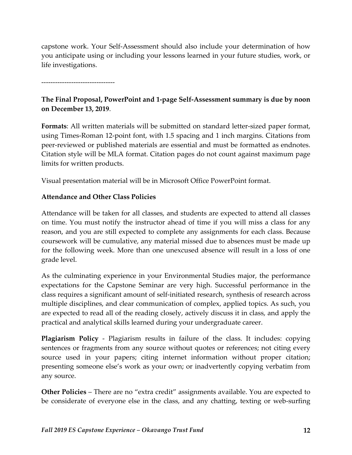capstone work. Your Self-Assessment should also include your determination of how you anticipate using or including your lessons learned in your future studies, work, or life investigations.

--------------------------------

### **The Final Proposal, PowerPoint and 1-page Self-Assessment summary is due by noon on December 13, 2019**.

**Formats**: All written materials will be submitted on standard letter-sized paper format, using Times-Roman 12-point font, with 1.5 spacing and 1 inch margins. Citations from peer-reviewed or published materials are essential and must be formatted as endnotes. Citation style will be MLA format. Citation pages do not count against maximum page limits for written products.

Visual presentation material will be in Microsoft Office PowerPoint format.

### **Attendance and Other Class Policies**

Attendance will be taken for all classes, and students are expected to attend all classes on time. You must notify the instructor ahead of time if you will miss a class for any reason, and you are still expected to complete any assignments for each class. Because coursework will be cumulative, any material missed due to absences must be made up for the following week. More than one unexcused absence will result in a loss of one grade level.

As the culminating experience in your Environmental Studies major, the performance expectations for the Capstone Seminar are very high. Successful performance in the class requires a significant amount of self-initiated research, synthesis of research across multiple disciplines, and clear communication of complex, applied topics. As such, you are expected to read all of the reading closely, actively discuss it in class, and apply the practical and analytical skills learned during your undergraduate career.

**Plagiarism Policy** - Plagiarism results in failure of the class. It includes: copying sentences or fragments from any source without quotes or references; not citing every source used in your papers; citing internet information without proper citation; presenting someone else's work as your own; or inadvertently copying verbatim from any source.

**Other Policies** – There are no "extra credit" assignments available. You are expected to be considerate of everyone else in the class, and any chatting, texting or web-surfing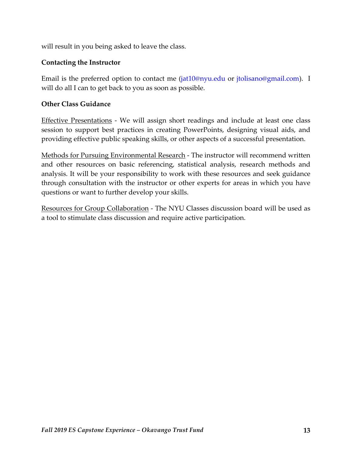will result in you being asked to leave the class.

#### **Contacting the Instructor**

Email is the preferred option to contact me (jat10@nyu.edu or jtolisano@gmail.com). I will do all I can to get back to you as soon as possible.

#### **Other Class Guidance**

Effective Presentations - We will assign short readings and include at least one class session to support best practices in creating PowerPoints, designing visual aids, and providing effective public speaking skills, or other aspects of a successful presentation.

Methods for Pursuing Environmental Research - The instructor will recommend written and other resources on basic referencing, statistical analysis, research methods and analysis. It will be your responsibility to work with these resources and seek guidance through consultation with the instructor or other experts for areas in which you have questions or want to further develop your skills.

Resources for Group Collaboration - The NYU Classes discussion board will be used as a tool to stimulate class discussion and require active participation.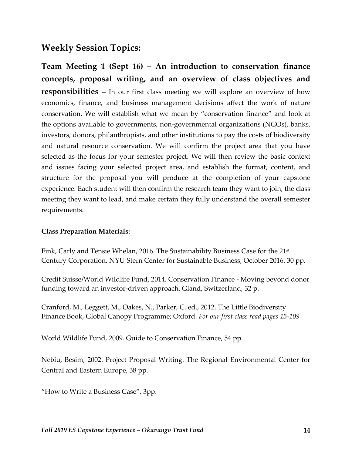# **Weekly Session Topics:**

**Team Meeting 1 (Sept 16) – An introduction to conservation finance concepts, proposal writing, and an overview of class objectives and responsibilities** – In our first class meeting we will explore an overview of how economics, finance, and business management decisions affect the work of nature conservation. We will establish what we mean by "conservation finance" and look at the options available to governments, non-governmental organizations (NGOs), banks, investors, donors, philanthropists, and other institutions to pay the costs of biodiversity and natural resource conservation. We will confirm the project area that you have selected as the focus for your semester project. We will then review the basic context and issues facing your selected project area, and establish the format, content, and structure for the proposal you will produce at the completion of your capstone experience. Each student will then confirm the research team they want to join, the class meeting they want to lead, and make certain they fully understand the overall semester requirements.

#### **Class Preparation Materials:**

Fink, Carly and Tensie Whelan, 2016. The Sustainability Business Case for the 21<sup>st</sup> Century Corporation. NYU Stern Center for Sustainable Business, October 2016. 30 pp.

Credit Suisse/World Wildlife Fund, 2014. Conservation Finance - Moving beyond donor funding toward an investor-driven approach. Gland, Switzerland, 32 p.

Cranford, M., Leggett, M., Oakes, N., Parker, C. ed., 2012. The Little Biodiversity Finance Book, Global Canopy Programme; Oxford. *For our first class read pages 15-109*

World Wildlife Fund, 2009. Guide to Conservation Finance, 54 pp.

Nebiu, Besim, 2002. Project Proposal Writing. The Regional Environmental Center for Central and Eastern Europe, 38 pp.

"How to Write a Business Case", 3pp.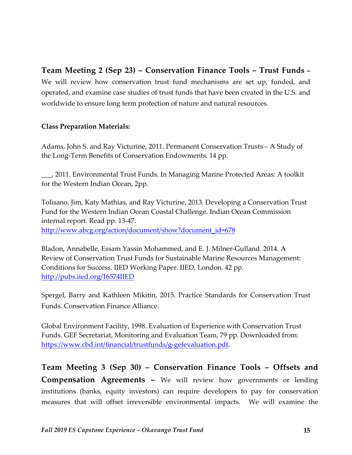## **Team Meeting 2 (Sep 23) – Conservation Finance Tools – Trust Funds –** We will review how conservation trust fund mechanisms are set up, funded, and operated, and examine case studies of trust funds that have been created in the U.S. and worldwide to ensure long term protection of nature and natural resources.

### **Class Preparation Materials:**

Adams, John S. and Ray Victurine, 2011. Permanent Conservation Trusts – A Study of the Long-Term Benefits of Conservation Endowments. 14 pp.

\_\_\_, 2011. Environmental Trust Funds. In Managing Marine Protected Areas: A toolkit for the Western Indian Ocean, 2pp.

Tolisano, Jim, Katy Mathias, and Ray Victurine, 2013. Developing a Conservation Trust Fund for the Western Indian Ocean Coastal Challenge. Indian Ocean Commission internal report. Read pp. 13-47.

http://www.abcg.org/action/document/show?document\_id=678

Bladon, Annabelle, Essam Yassin Mohammed, and E. J. Milner-Gulland. 2014. A Review of Conservation Trust Funds for Sustainable Marine Resources Management: Conditions for Success. IIED Working Paper. IIED, London. 42 pp. http://pubs.iied.org/16574IIED

Spergel, Barry and Kathleen Mikitin, 2015. Practice Standards for Conservation Trust Funds. Conservation Finance Alliance.

Global Environment Facility, 1998. Evaluation of Experience with Conservation Trust Funds. GEF Secretariat, Monitoring and Evaluation Team, 79 pp. Downloaded from: https://www.cbd.int/financial/trustfunds/g-gefevaluation.pdf.

**Team Meeting 3 (Sep 30) – Conservation Finance Tools – Offsets and Compensation Agreements –** We will review how governments or lending institutions (banks, equity investors) can require developers to pay for conservation measures that will offset irreversible environmental impacts. We will examine the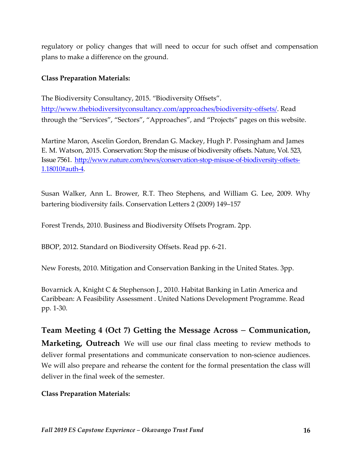regulatory or policy changes that will need to occur for such offset and compensation plans to make a difference on the ground.

#### **Class Preparation Materials:**

The Biodiversity Consultancy, 2015. "Biodiversity Offsets". http://www.thebiodiversityconsultancy.com/approaches/biodiversity-offsets/. Read through the "Services", "Sectors", "Approaches", and "Projects" pages on this website.

Martine Maron, Ascelin Gordon, Brendan G. Mackey, Hugh P. Possingham and James E. M. Watson, 2015. Conservation: Stop the misuse of biodiversity offsets. Nature, Vol. 523, Issue 7561. http://www.nature.com/news/conservation-stop-misuse-of-biodiversity-offsets-1.18010#auth-4.

Susan Walker, Ann L. Brower, R.T. Theo Stephens, and William G. Lee, 2009. Why bartering biodiversity fails. Conservation Letters 2 (2009) 149–157

Forest Trends, 2010. Business and Biodiversity Offsets Program. 2pp.

BBOP, 2012. Standard on Biodiversity Offsets. Read pp. 6-21.

New Forests, 2010. Mitigation and Conservation Banking in the United States. 3pp.

Bovarnick A, Knight C & Stephenson J., 2010. Habitat Banking in Latin America and Caribbean: A Feasibility Assessment . United Nations Development Programme. Read pp. 1-30.

# **Team Meeting 4 (Oct 7) Getting the Message Across** – **Communication, Marketing, Outreach** We will use our final class meeting to review methods to deliver formal presentations and communicate conservation to non-science audiences. We will also prepare and rehearse the content for the formal presentation the class will deliver in the final week of the semester.

### **Class Preparation Materials:**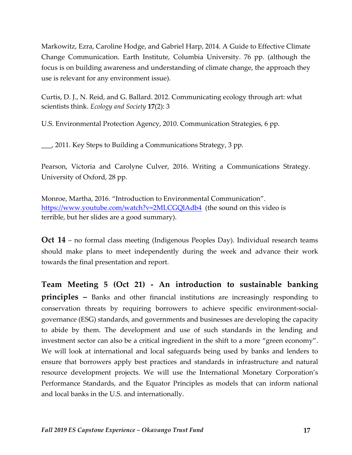Markowitz, Ezra, Caroline Hodge, and Gabriel Harp, 2014. A Guide to Effective Climate Change Communication. Earth Institute, Columbia University. 76 pp. (although the focus is on building awareness and understanding of climate change, the approach they use is relevant for any environment issue).

Curtis, D. J., N. Reid, and G. Ballard. 2012. Communicating ecology through art: what scientists think. *Ecology and Society* **17**(2): 3

U.S. Environmental Protection Agency, 2010. Communication Strategies, 6 pp.

\_\_\_, 2011. Key Steps to Building a Communications Strategy, 3 pp.

Pearson, Victoria and Carolyne Culver, 2016. Writing a Communications Strategy. University of Oxford, 28 pp.

Monroe, Martha, 2016. "Introduction to Environmental Communication". https://www.youtube.com/watch?v=2MLCGQlAdb4 (the sound on this video is terrible, but her slides are a good summary).

**Oct 14** – no formal class meeting (Indigenous Peoples Day). Individual research teams should make plans to meet independently during the week and advance their work towards the final presentation and report.

**Team Meeting 5 (Oct 21) - An introduction to sustainable banking principles –** Banks and other financial institutions are increasingly responding to conservation threats by requiring borrowers to achieve specific environment-socialgovernance (ESG) standards, and governments and businesses are developing the capacity to abide by them. The development and use of such standards in the lending and investment sector can also be a critical ingredient in the shift to a more "green economy". We will look at international and local safeguards being used by banks and lenders to ensure that borrowers apply best practices and standards in infrastructure and natural resource development projects. We will use the International Monetary Corporation's Performance Standards, and the Equator Principles as models that can inform national and local banks in the U.S. and internationally.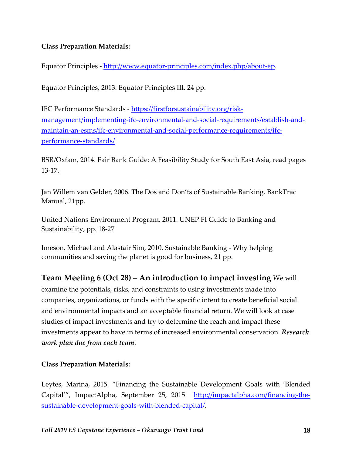### **Class Preparation Materials:**

Equator Principles - http://www.equator-principles.com/index.php/about-ep.

Equator Principles, 2013. Equator Principles III. 24 pp.

IFC Performance Standards - https://firstforsustainability.org/riskmanagement/implementing-ifc-environmental-and-social-requirements/establish-andmaintain-an-esms/ifc-environmental-and-social-performance-requirements/ifcperformance-standards/

BSR/Oxfam, 2014. Fair Bank Guide: A Feasibility Study for South East Asia, read pages 13-17.

Jan Willem van Gelder, 2006. The Dos and Don'ts of Sustainable Banking. BankTrac Manual, 21pp.

United Nations Environment Program, 2011. UNEP FI Guide to Banking and Sustainability, pp. 18-27

Imeson, Michael and Alastair Sim, 2010. Sustainable Banking - Why helping communities and saving the planet is good for business, 21 pp.

**Team Meeting 6 (Oct 28) – An introduction to impact investing** We will examine the potentials, risks, and constraints to using investments made into companies, organizations, or funds with the specific intent to create beneficial social and environmental impacts and an acceptable financial return. We will look at case studies of impact investments and try to determine the reach and impact these investments appear to have in terms of increased environmental conservation. *Research work plan due from each team*.

### **Class Preparation Materials:**

Leytes, Marina, 2015. "Financing the Sustainable Development Goals with 'Blended Capital'", ImpactAlpha, September 25, 2015 http://impactalpha.com/financing-thesustainable-development-goals-with-blended-capital/.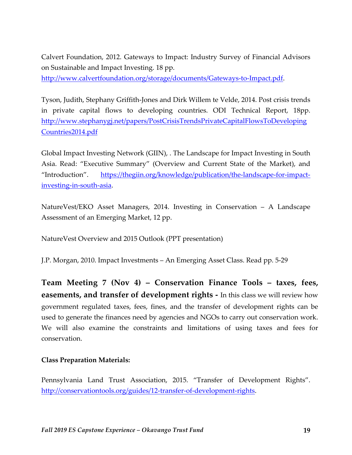Calvert Foundation, 2012. Gateways to Impact: Industry Survey of Financial Advisors on Sustainable and Impact Investing. 18 pp.

http://www.calvertfoundation.org/storage/documents/Gateways-to-Impact.pdf.

Tyson, Judith, Stephany Griffith-Jones and Dirk Willem te Velde, 2014. Post crisis trends in private capital flows to developing countries. ODI Technical Report, 18pp. http://www.stephanygj.net/papers/PostCrisisTrendsPrivateCapitalFlowsToDeveloping Countries2014.pdf

Global Impact Investing Network (GIIN), . The Landscape for Impact Investing in South Asia. Read: "Executive Summary" (Overview and Current State of the Market), and "Introduction". https://thegiin.org/knowledge/publication/the-landscape-for-impactinvesting-in-south-asia.

NatureVest/EKO Asset Managers, 2014. Investing in Conservation – A Landscape Assessment of an Emerging Market, 12 pp.

NatureVest Overview and 2015 Outlook (PPT presentation)

J.P. Morgan, 2010. Impact Investments – An Emerging Asset Class. Read pp. 5-29

**Team Meeting 7 (Nov 4) – Conservation Finance Tools – taxes, fees, easements, and transfer of development rights -** In this class we will review how government regulated taxes, fees, fines, and the transfer of development rights can be used to generate the finances need by agencies and NGOs to carry out conservation work. We will also examine the constraints and limitations of using taxes and fees for conservation.

### **Class Preparation Materials:**

Pennsylvania Land Trust Association, 2015. "Transfer of Development Rights". http://conservationtools.org/guides/12-transfer-of-development-rights.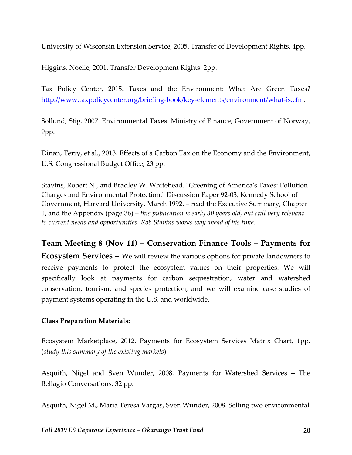University of Wisconsin Extension Service, 2005. Transfer of Development Rights, 4pp.

Higgins, Noelle, 2001. Transfer Development Rights. 2pp.

Tax Policy Center, 2015. Taxes and the Environment: What Are Green Taxes? http://www.taxpolicycenter.org/briefing-book/key-elements/environment/what-is.cfm.

Sollund, Stig, 2007. Environmental Taxes. Ministry of Finance, Government of Norway, 9pp.

Dinan, Terry, et al., 2013. Effects of a Carbon Tax on the Economy and the Environment, U.S. Congressional Budget Office, 23 pp.

Stavins, Robert N., and Bradley W. Whitehead. "Greening of America's Taxes: Pollution Charges and Environmental Protection." Discussion Paper 92-03, Kennedy School of Government, Harvard University, March 1992. – read the Executive Summary, Chapter 1, and the Appendix (page 36) – *this publication is early 30 years old, but still very relevant to current needs and opportunities. Rob Stavins works way ahead of his time.*

**Team Meeting 8 (Nov 11) – Conservation Finance Tools – Payments for Ecosystem Services –** We will review the various options for private landowners to receive payments to protect the ecosystem values on their properties. We will specifically look at payments for carbon sequestration, water and watershed conservation, tourism, and species protection, and we will examine case studies of payment systems operating in the U.S. and worldwide.

### **Class Preparation Materials:**

Ecosystem Marketplace, 2012. Payments for Ecosystem Services Matrix Chart, 1pp. (*study this summary of the existing markets*)

Asquith, Nigel and Sven Wunder, 2008. Payments for Watershed Services – The Bellagio Conversations. 32 pp.

Asquith, Nigel M., Maria Teresa Vargas, Sven Wunder, 2008. Selling two environmental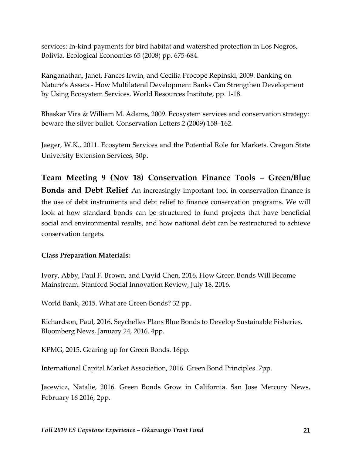services: In-kind payments for bird habitat and watershed protection in Los Negros, Bolivia. Ecological Economics 65 (2008) pp. 675-684.

Ranganathan, Janet, Fances Irwin, and Cecilia Procope Repinski, 2009. Banking on Nature's Assets - How Multilateral Development Banks Can Strengthen Development by Using Ecosystem Services. World Resources Institute, pp. 1-18.

Bhaskar Vira & William M. Adams, 2009. Ecosystem services and conservation strategy: beware the silver bullet. Conservation Letters 2 (2009) 158–162.

Jaeger, W.K., 2011. Ecosytem Services and the Potential Role for Markets. Oregon State University Extension Services, 30p.

**Team Meeting 9 (Nov 18) Conservation Finance Tools – Green/Blue Bonds and Debt Relief** An increasingly important tool in conservation finance is the use of debt instruments and debt relief to finance conservation programs. We will look at how standard bonds can be structured to fund projects that have beneficial social and environmental results, and how national debt can be restructured to achieve conservation targets.

### **Class Preparation Materials:**

Ivory, Abby, Paul F. Brown, and David Chen, 2016. How Green Bonds Will Become Mainstream. Stanford Social Innovation Review, July 18, 2016.

World Bank, 2015. What are Green Bonds? 32 pp.

Richardson, Paul, 2016. Seychelles Plans Blue Bonds to Develop Sustainable Fisheries. Bloomberg News, January 24, 2016. 4pp.

KPMG, 2015. Gearing up for Green Bonds. 16pp.

International Capital Market Association, 2016. Green Bond Principles. 7pp.

Jacewicz, Natalie, 2016. Green Bonds Grow in California. San Jose Mercury News, February 16 2016, 2pp.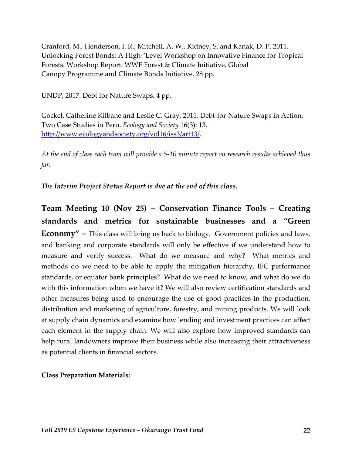Cranford, M., Henderson, I. R., Mitchell, A. W., Kidney, S. and Kanak, D. P. 2011. Unlocking Forest Bonds: A High-ˇLevel Workshop on Innovative Finance for Tropical Forests. Workshop Report. WWF Forest & Climate Initiative, Global Canopy Programme and Climate Bonds Initiative. 28 pp.

UNDP, 2017. Debt for Nature Swaps. 4 pp.

Gockel, Catherine Kilbane and Leslie C. Gray, 2011. Debt-for-Nature Swaps in Action: Two Case Studies in Peru. *Ecology and Society* 16(3): 13. http://www.ecologyandsociety.org/vol16/iss3/art13/.

*At the end of class each team will provide a 5-10 minute report on research results achieved thus far*.

*The Interim Project Status Report is due at the end of this class.*

**Team Meeting 10 (Nov 25) – Conservation Finance Tools – Creating standards and metrics for sustainable businesses and a "Green Economy" –** This class will bring us back to biology. Government policies and laws, and banking and corporate standards will only be effective if we understand how to measure and verify success. What do we measure and why? What metrics and methods do we need to be able to apply the mitigation hierarchy, IFC performance standards, or equator bank principles? What do we need to know, and what do we do with this information when we have it? We will also review certification standards and other measures being used to encourage the use of good practices in the production, distribution and marketing of agriculture, forestry, and mining products. We will look at supply chain dynamics and examine how lending and investment practices can affect each element in the supply chain. We will also explore how improved standards can help rural landowners improve their business while also increasing their attractiveness as potential clients in financial sectors.

#### **Class Preparation Materials:**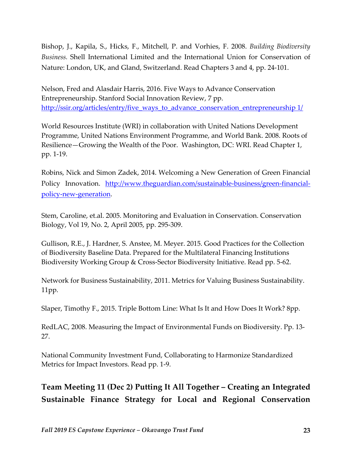Bishop, J., Kapila, S., Hicks, F., Mitchell, P. and Vorhies, F. 2008. *Building Biodiversity Business.* Shell International Limited and the International Union for Conservation of Nature: London, UK, and Gland, Switzerland. Read Chapters 3 and 4, pp. 24-101.

Nelson, Fred and Alasdair Harris, 2016. Five Ways to Advance Conservation Entrepreneurship. Stanford Social Innovation Review, 7 pp. http://ssir.org/articles/entry/five\_ways\_to\_advance\_conservation\_entrepreneurship 1/

World Resources Institute (WRI) in collaboration with United Nations Development Programme, United Nations Environment Programme, and World Bank. 2008. Roots of Resilience—Growing the Wealth of the Poor. Washington, DC: WRI. Read Chapter 1, pp. 1-19.

Robins, Nick and Simon Zadek, 2014. Welcoming a New Generation of Green Financial Policy Innovation. http://www.theguardian.com/sustainable-business/green-financialpolicy-new-generation.

Stem, Caroline, et.al. 2005. Monitoring and Evaluation in Conservation. Conservation Biology, Vol 19, No. 2, April 2005, pp. 295-309.

Gullison, R.E., J. Hardner, S. Anstee, M. Meyer. 2015. Good Practices for the Collection of Biodiversity Baseline Data. Prepared for the Multilateral Financing Institutions Biodiversity Working Group & Cross-Sector Biodiversity Initiative. Read pp. 5-62.

Network for Business Sustainability, 2011. Metrics for Valuing Business Sustainability. 11pp.

Slaper, Timothy F., 2015. Triple Bottom Line: What Is It and How Does It Work? 8pp.

RedLAC, 2008. Measuring the Impact of Environmental Funds on Biodiversity. Pp. 13- 27.

National Community Investment Fund, Collaborating to Harmonize Standardized Metrics for Impact Investors. Read pp. 1-9.

**Team Meeting 11 (Dec 2) Putting It All Together – Creating an Integrated Sustainable Finance Strategy for Local and Regional Conservation**